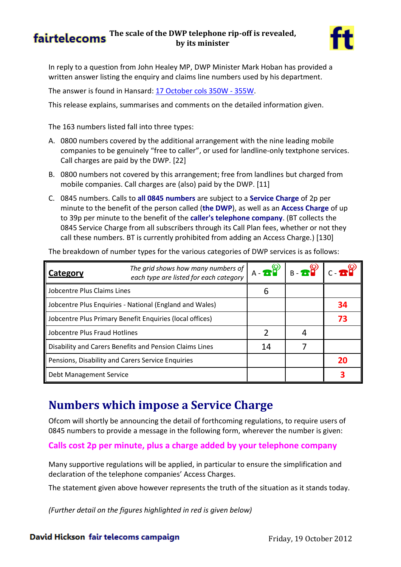### **fairtelecoms** The scale of the DWP telephone rip-off is revealed, **by its minister**



In reply to a question from John Healey MP, DWP Minister Mark Hoban has provided a written answer listing the enquiry and claims line numbers used by his department.

The answer is found in Hansard: [17 October cols 350W -](http://www.publications.parliament.uk/pa/cm201213/cmhansrd/cm121017/text/121017w0003.htm#subhd_147) 355W.

This release explains, summarises and comments on the detailed information given.

The 163 numbers listed fall into three types:

- A. 0800 numbers covered by the additional arrangement with the nine leading mobile companies to be genuinely "free to caller", or used for landline-only textphone services. Call charges are paid by the DWP. [22]
- B. 0800 numbers not covered by this arrangement; free from landlines but charged from mobile companies. Call charges are (also) paid by the DWP. [11]
- C. 0845 numbers. Calls to **all 0845 numbers** are subject to a **Service Charge** of 2p per minute to the benefit of the person called (**the DWP**), as well as an **Access Charge** of up to 39p per minute to the benefit of the **caller's telephone company**. (BT collects the 0845 Service Charge from all subscribers through its Call Plan fees, whether or not they call these numbers. BT is currently prohibited from adding an Access Charge.) [130]

| Category                                                 | The grid shows how many numbers of<br>each type are listed for each category | $A - B$ <sup>(0)</sup> | $B - B$ $C - B$ $T$ |    |
|----------------------------------------------------------|------------------------------------------------------------------------------|------------------------|---------------------|----|
| Jobcentre Plus Claims Lines                              |                                                                              | h                      |                     |    |
| Jobcentre Plus Enquiries - National (England and Wales)  |                                                                              |                        |                     | 34 |
| Jobcentre Plus Primary Benefit Enquiries (local offices) |                                                                              |                        |                     | 73 |
| Jobcentre Plus Fraud Hotlines                            |                                                                              |                        |                     |    |
| Disability and Carers Benefits and Pension Claims Lines  |                                                                              | 14                     |                     |    |
| Pensions, Disability and Carers Service Enquiries        |                                                                              |                        |                     | 20 |
| Debt Management Service                                  |                                                                              |                        |                     |    |

### **Numbers which impose a Service Charge**

Ofcom will shortly be announcing the detail of forthcoming regulations, to require users of 0845 numbers to provide a message in the following form, wherever the number is given:

#### **Calls cost 2p per minute, plus a charge added by your telephone company**

Many supportive regulations will be applied, in particular to ensure the simplification and declaration of the telephone companies' Access Charges.

The statement given above however represents the truth of the situation as it stands today.

*(Further detail on the figures highlighted in red is given below)*

#### David Hickson fair telecoms campaign